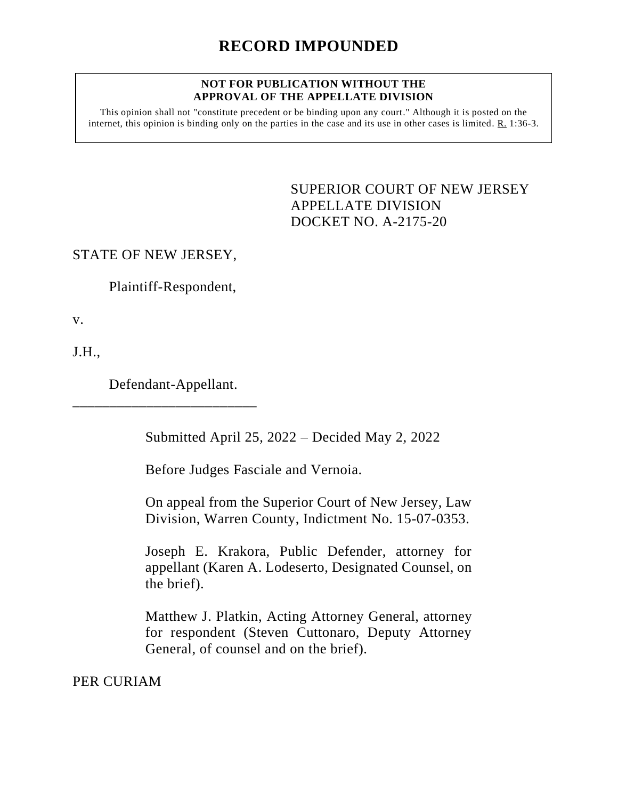### **NOT FOR PUBLICATION WITHOUT THE APPROVAL OF THE APPELLATE DIVISION**

This opinion shall not "constitute precedent or be binding upon any court." Although it is posted on the internet, this opinion is binding only on the parties in the case and its use in other cases is limited. R. 1:36-3.

> <span id="page-0-0"></span>SUPERIOR COURT OF NEW JERSEY APPELLATE DIVISION DOCKET NO. A-2175-20

### STATE OF NEW JERSEY,

Plaintiff-Respondent,

v.

J.H.,

Defendant-Appellant.

\_\_\_\_\_\_\_\_\_\_\_\_\_\_\_\_\_\_\_\_\_\_\_\_\_

Submitted April 25, 2022 – Decided May 2, 2022

Before Judges Fasciale and Vernoia.

On appeal from the Superior Court of New Jersey, Law Division, Warren County, Indictment No. 15-07-0353.

Joseph E. Krakora, Public Defender, attorney for appellant (Karen A. Lodeserto, Designated Counsel, on the brief).

Matthew J. Platkin, Acting Attorney General, attorney for respondent (Steven Cuttonaro, Deputy Attorney General, of counsel and on the brief).

PER CURIAM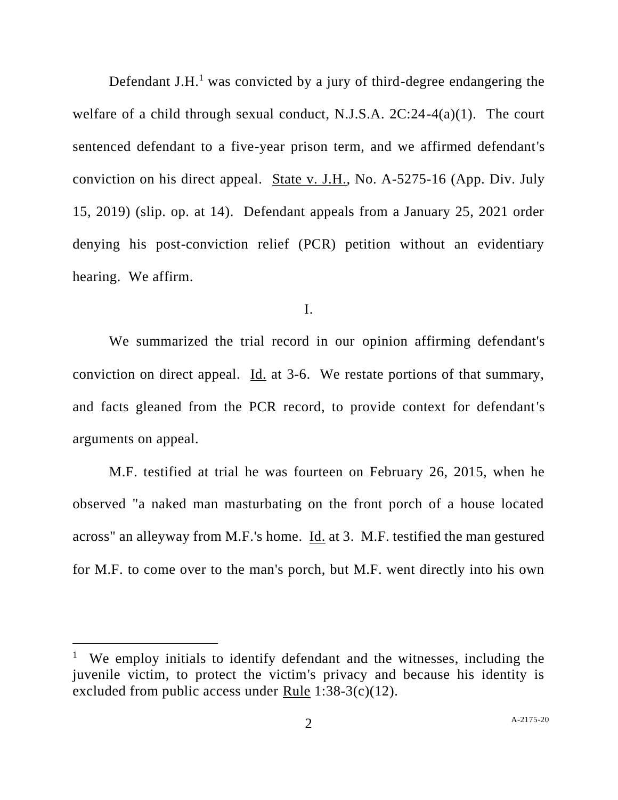Defendant  $J.H.$ <sup>1</sup> was convicted by a jury of third-degree endangering the welfare of a child through sexual conduct, N.J.S.A. 2C:24-4(a)(1). The court sentenced defendant to a five-year prison term, and we affirmed defendant's conviction on his direct appeal. State v. J.H., No. A-5275-16 (App. Div. July 15, 2019) (slip. op. at 14). Defendant appeals from a January 25, 2021 order denying his post-conviction relief (PCR) petition without an evidentiary hearing. We affirm.

I.

We summarized the trial record in our opinion affirming defendant's conviction on direct appeal. Id. at 3-6. We restate portions of that summary, and facts gleaned from the PCR record, to provide context for defendant's arguments on appeal.

M.F. testified at trial he was fourteen on February 26, 2015, when he observed "a naked man masturbating on the front porch of a house located across" an alleyway from M.F.'s home. Id. at 3. M.F. testified the man gestured for M.F. to come over to the man's porch, but M.F. went directly into his own

<sup>&</sup>lt;sup>1</sup> We employ initials to identify defendant and the witnesses, including the juvenile victim, to protect the victim's privacy and because his identity is excluded from public access under Rule 1:38-3(c)(12).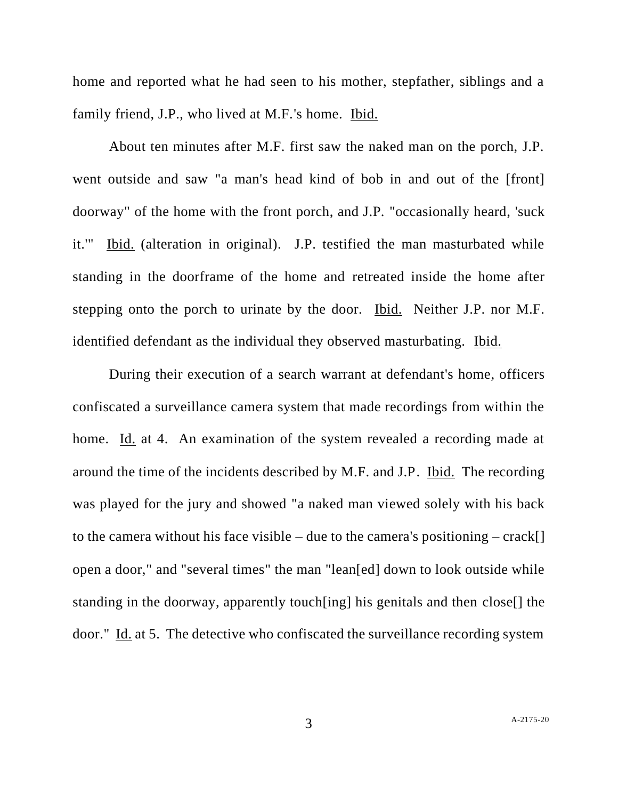home and reported what he had seen to his mother, stepfather, siblings and a family friend, J.P., who lived at M.F.'s home. Ibid.

About ten minutes after M.F. first saw the naked man on the porch, J.P. went outside and saw "a man's head kind of bob in and out of the [front] doorway" of the home with the front porch, and J.P. "occasionally heard, 'suck it.'" Ibid. (alteration in original). J.P. testified the man masturbated while standing in the doorframe of the home and retreated inside the home after stepping onto the porch to urinate by the door. Ibid. Neither J.P. nor M.F. identified defendant as the individual they observed masturbating. Ibid.

During their execution of a search warrant at defendant's home, officers confiscated a surveillance camera system that made recordings from within the home. Id. at 4. An examination of the system revealed a recording made at around the time of the incidents described by M.F. and J.P. Ibid. The recording was played for the jury and showed "a naked man viewed solely with his back to the camera without his face visible – due to the camera's positioning – crack[] open a door," and "several times" the man "lean[ed] down to look outside while standing in the doorway, apparently touch[ing] his genitals and then close[] the door." Id. at 5. The detective who confiscated the surveillance recording system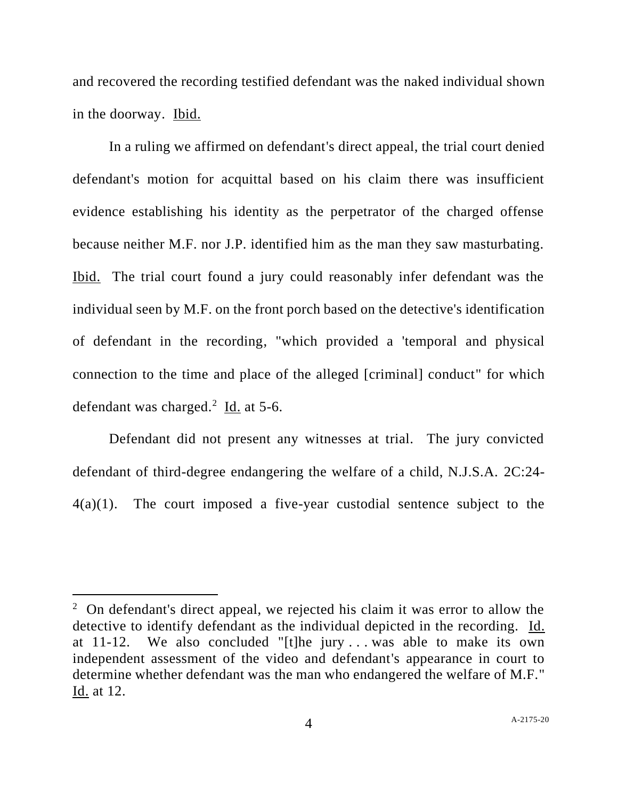and recovered the recording testified defendant was the naked individual shown in the doorway. Ibid.

In a ruling we affirmed on defendant's direct appeal, the trial court denied defendant's motion for acquittal based on his claim there was insufficient evidence establishing his identity as the perpetrator of the charged offense because neither M.F. nor J.P. identified him as the man they saw masturbating. Ibid. The trial court found a jury could reasonably infer defendant was the individual seen by M.F. on the front porch based on the detective's identification of defendant in the recording, "which provided a 'temporal and physical connection to the time and place of the alleged [criminal] conduct" for which defendant was charged.<sup>2</sup> Id. at 5-6.

Defendant did not present any witnesses at trial. The jury convicted defendant of third-degree endangering the welfare of a child, N.J.S.A. 2C:24- 4(a)(1). The court imposed a five-year custodial sentence subject to the

<sup>&</sup>lt;sup>2</sup> On defendant's direct appeal, we rejected his claim it was error to allow the detective to identify defendant as the individual depicted in the recording. Id. at 11-12. We also concluded "[t]he jury . . . was able to make its own independent assessment of the video and defendant's appearance in court to determine whether defendant was the man who endangered the welfare of M.F." Id. at 12.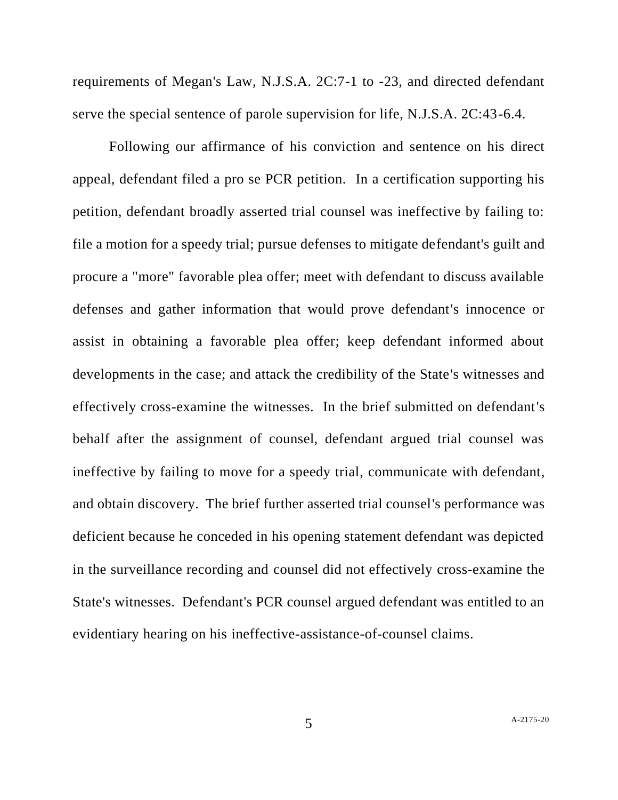requirements of Megan's Law, N.J.S.A. 2C:7-1 to -23, and directed defendant serve the special sentence of parole supervision for life, N.J.S.A. 2C:43-6.4.

Following our affirmance of his conviction and sentence on his direct appeal, defendant filed a pro se PCR petition. In a certification supporting his petition, defendant broadly asserted trial counsel was ineffective by failing to: file a motion for a speedy trial; pursue defenses to mitigate defendant's guilt and procure a "more" favorable plea offer; meet with defendant to discuss available defenses and gather information that would prove defendant's innocence or assist in obtaining a favorable plea offer; keep defendant informed about developments in the case; and attack the credibility of the State's witnesses and effectively cross-examine the witnesses. In the brief submitted on defendant's behalf after the assignment of counsel, defendant argued trial counsel was ineffective by failing to move for a speedy trial, communicate with defendant, and obtain discovery. The brief further asserted trial counsel's performance was deficient because he conceded in his opening statement defendant was depicted in the surveillance recording and counsel did not effectively cross-examine the State's witnesses. Defendant's PCR counsel argued defendant was entitled to an evidentiary hearing on his ineffective-assistance-of-counsel claims.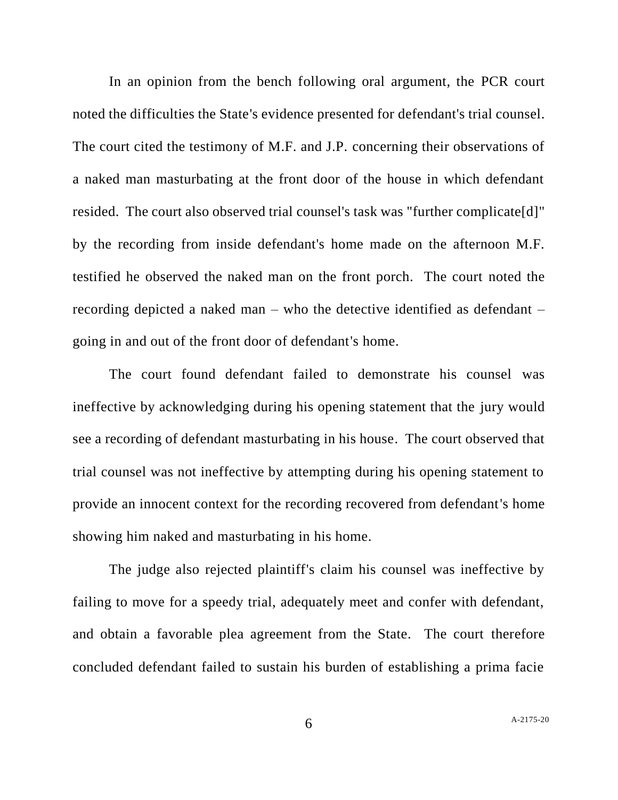In an opinion from the bench following oral argument, the PCR court noted the difficulties the State's evidence presented for defendant's trial counsel. The court cited the testimony of M.F. and J.P. concerning their observations of a naked man masturbating at the front door of the house in which defendant resided. The court also observed trial counsel's task was "further complicate[d]" by the recording from inside defendant's home made on the afternoon M.F. testified he observed the naked man on the front porch. The court noted the recording depicted a naked man – who the detective identified as defendant – going in and out of the front door of defendant's home.

The court found defendant failed to demonstrate his counsel was ineffective by acknowledging during his opening statement that the jury would see a recording of defendant masturbating in his house. The court observed that trial counsel was not ineffective by attempting during his opening statement to provide an innocent context for the recording recovered from defendant's home showing him naked and masturbating in his home.

The judge also rejected plaintiff's claim his counsel was ineffective by failing to move for a speedy trial, adequately meet and confer with defendant, and obtain a favorable plea agreement from the State. The court therefore concluded defendant failed to sustain his burden of establishing a prima facie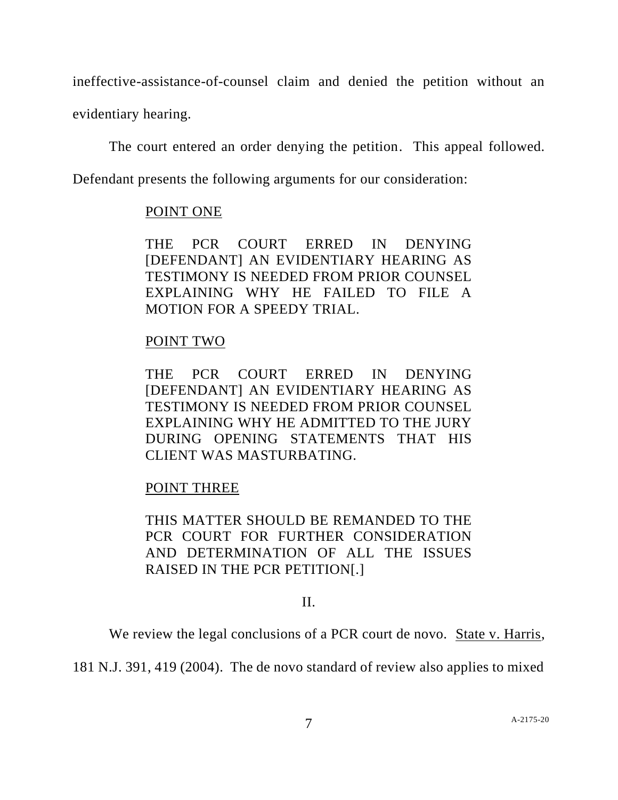ineffective-assistance-of-counsel claim and denied the petition without an evidentiary hearing.

The court entered an order denying the petition. This appeal followed.

Defendant presents the following arguments for our consideration:

## POINT ONE

THE PCR COURT ERRED IN DENYING [DEFENDANT] AN EVIDENTIARY HEARING AS TESTIMONY IS NEEDED FROM PRIOR COUNSEL EXPLAINING WHY HE FAILED TO FILE A MOTION FOR A SPEEDY TRIAL.

# POINT TWO

THE PCR COURT ERRED IN DENYING [DEFENDANT] AN EVIDENTIARY HEARING AS TESTIMONY IS NEEDED FROM PRIOR COUNSEL EXPLAINING WHY HE ADMITTED TO THE JURY DURING OPENING STATEMENTS THAT HIS CLIENT WAS MASTURBATING.

# POINT THREE

THIS MATTER SHOULD BE REMANDED TO THE PCR COURT FOR FURTHER CONSIDERATION AND DETERMINATION OF ALL THE ISSUES RAISED IN THE PCR PETITION[.]

## II.

We review the legal conclusions of a PCR court de novo. State v. Harris,

181 N.J. 391, 419 (2004). The de novo standard of review also applies to mixed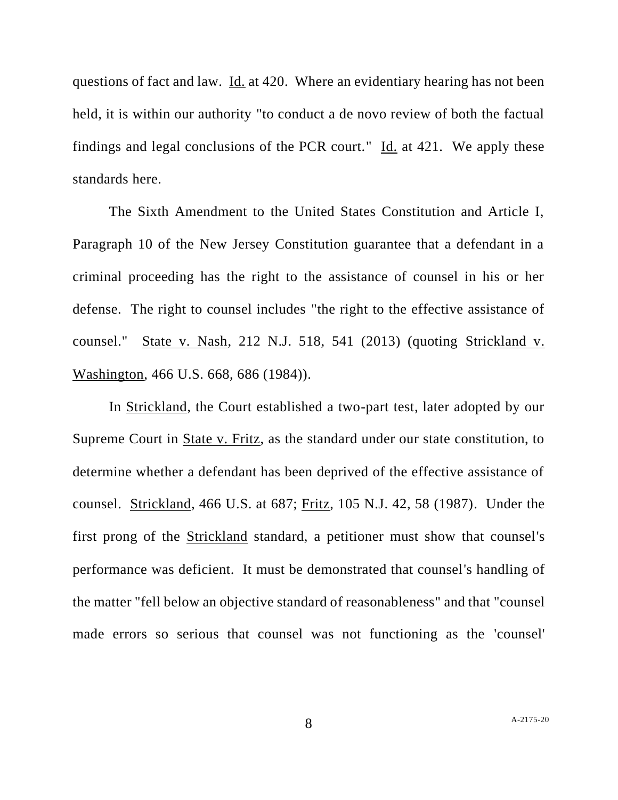questions of fact and law. Id. at 420. Where an evidentiary hearing has not been held, it is within our authority "to conduct a de novo review of both the factual findings and legal conclusions of the PCR court." Id. at 421. We apply these standards here.

The Sixth Amendment to the United States Constitution and Article I, Paragraph 10 of the New Jersey Constitution guarantee that a defendant in a criminal proceeding has the right to the assistance of counsel in his or her defense. The right to counsel includes "the right to the effective assistance of counsel." State v. Nash, 212 N.J. 518, 541 (2013) (quoting Strickland v. Washington, 466 U.S. 668, 686 (1984)).

In Strickland, the Court established a two-part test, later adopted by our Supreme Court in State v. Fritz, as the standard under our state constitution, to determine whether a defendant has been deprived of the effective assistance of counsel. Strickland, 466 U.S. at 687; Fritz, 105 N.J. 42, 58 (1987). Under the first prong of the Strickland standard, a petitioner must show that counsel's performance was deficient. It must be demonstrated that counsel's handling of the matter "fell below an objective standard of reasonableness" and that "counsel made errors so serious that counsel was not functioning as the 'counsel'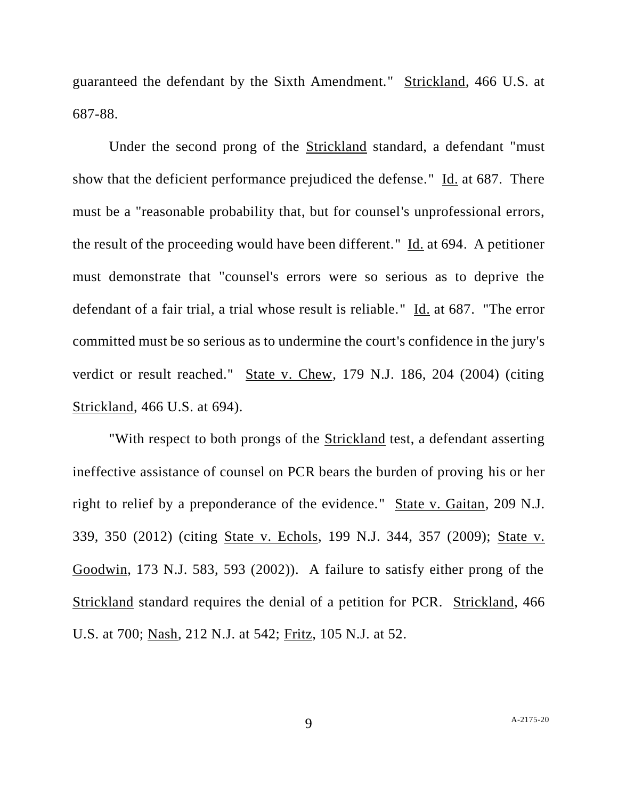guaranteed the defendant by the Sixth Amendment." Strickland, 466 U.S. at 687-88.

Under the second prong of the Strickland standard, a defendant "must show that the deficient performance prejudiced the defense." Id. at 687. There must be a "reasonable probability that, but for counsel's unprofessional errors, the result of the proceeding would have been different." Id. at 694. A petitioner must demonstrate that "counsel's errors were so serious as to deprive the defendant of a fair trial, a trial whose result is reliable." Id. at 687. "The error committed must be so serious as to undermine the court's confidence in the jury's verdict or result reached." State v. Chew, 179 N.J. 186, 204 (2004) (citing Strickland, 466 U.S. at 694).

"With respect to both prongs of the Strickland test, a defendant asserting ineffective assistance of counsel on PCR bears the burden of proving his or her right to relief by a preponderance of the evidence." State v. Gaitan, 209 N.J. 339, 350 (2012) (citing State v. Echols, 199 N.J. 344, 357 (2009); State v. Goodwin, 173 N.J. 583, 593 (2002)). A failure to satisfy either prong of the Strickland standard requires the denial of a petition for PCR. Strickland, 466 U.S. at 700; Nash, 212 N.J. at 542; Fritz, 105 N.J. at 52.

9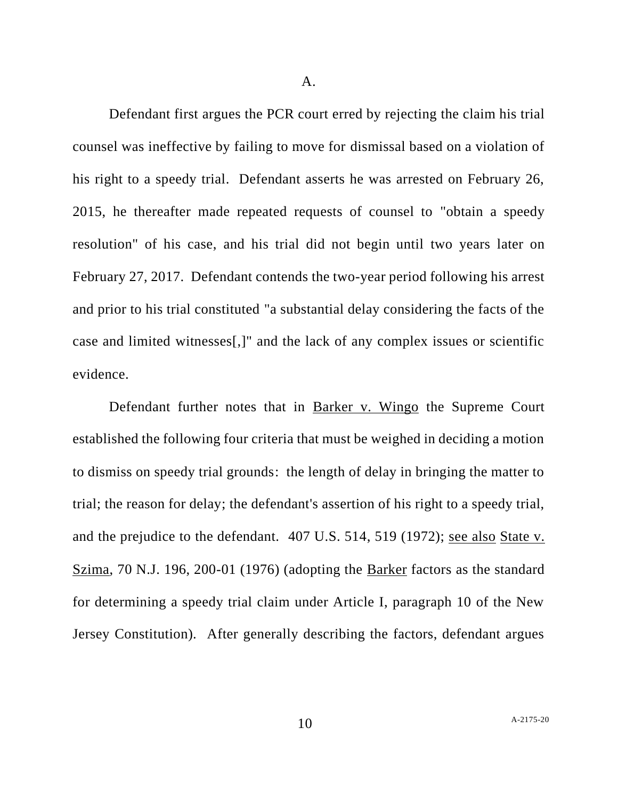A.

Defendant first argues the PCR court erred by rejecting the claim his trial counsel was ineffective by failing to move for dismissal based on a violation of his right to a speedy trial. Defendant asserts he was arrested on February 26, 2015, he thereafter made repeated requests of counsel to "obtain a speedy resolution" of his case, and his trial did not begin until two years later on February 27, 2017. Defendant contends the two-year period following his arrest and prior to his trial constituted "a substantial delay considering the facts of the case and limited witnesses[,]" and the lack of any complex issues or scientific evidence.

Defendant further notes that in Barker v. Wingo the Supreme Court established the following four criteria that must be weighed in deciding a motion to dismiss on speedy trial grounds: the length of delay in bringing the matter to trial; the reason for delay; the defendant's assertion of his right to a speedy trial, and the prejudice to the defendant. 407 U.S. 514, 519 (1972); see also State v. Szima, 70 N.J. 196, 200-01 (1976) (adopting the Barker factors as the standard for determining a speedy trial claim under Article I, paragraph 10 of the New Jersey Constitution). After generally describing the factors, defendant argues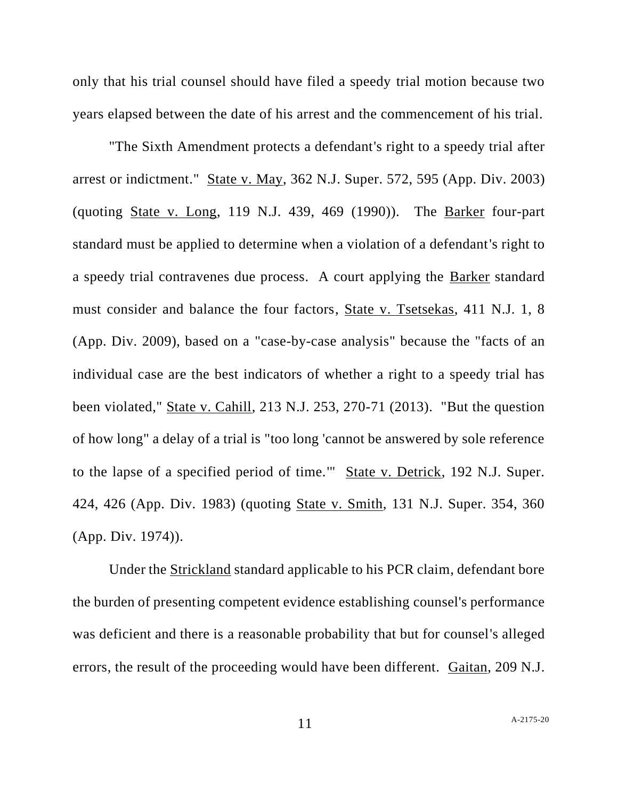only that his trial counsel should have filed a speedy trial motion because two years elapsed between the date of his arrest and the commencement of his trial.

"The Sixth Amendment protects a defendant's right to a speedy trial after arrest or indictment." State v. May, 362 N.J. Super. 572, 595 (App. Div. 2003) (quoting State v. Long, 119 N.J. 439, 469 (1990)). The Barker four-part standard must be applied to determine when a violation of a defendant's right to a speedy trial contravenes due process. A court applying the Barker standard must consider and balance the four factors, State v. Tsetsekas, 411 N.J. 1, 8 (App. Div. 2009), based on a "case-by-case analysis" because the "facts of an individual case are the best indicators of whether a right to a speedy trial has been violated," State v. Cahill, 213 N.J. 253, 270-71 (2013). "But the question of how long" a delay of a trial is "too long 'cannot be answered by sole reference to the lapse of a specified period of time.'" State v. Detrick, 192 N.J. Super. 424, 426 (App. Div. 1983) (quoting State v. Smith, 131 N.J. Super. 354, 360 (App. Div. 1974)).

Under the Strickland standard applicable to his PCR claim, defendant bore the burden of presenting competent evidence establishing counsel's performance was deficient and there is a reasonable probability that but for counsel's alleged errors, the result of the proceeding would have been different. Gaitan, 209 N.J.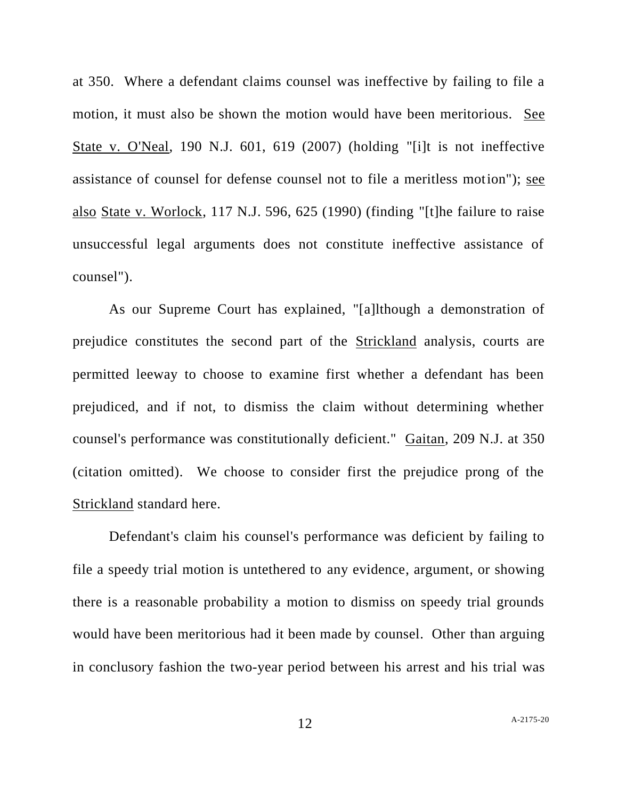at 350. Where a defendant claims counsel was ineffective by failing to file a motion, it must also be shown the motion would have been meritorious. See State v. O'Neal, 190 N.J. 601, 619 (2007) (holding "[i]t is not ineffective assistance of counsel for defense counsel not to file a meritless motion"); see also State v. Worlock, 117 N.J. 596, 625 (1990) (finding "[t]he failure to raise unsuccessful legal arguments does not constitute ineffective assistance of counsel").

As our Supreme Court has explained, "[a]lthough a demonstration of prejudice constitutes the second part of the Strickland analysis, courts are permitted leeway to choose to examine first whether a defendant has been prejudiced, and if not, to dismiss the claim without determining whether counsel's performance was constitutionally deficient." Gaitan, 209 N.J. at 350 (citation omitted). We choose to consider first the prejudice prong of the Strickland standard here.

Defendant's claim his counsel's performance was deficient by failing to file a speedy trial motion is untethered to any evidence, argument, or showing there is a reasonable probability a motion to dismiss on speedy trial grounds would have been meritorious had it been made by counsel. Other than arguing in conclusory fashion the two-year period between his arrest and his trial was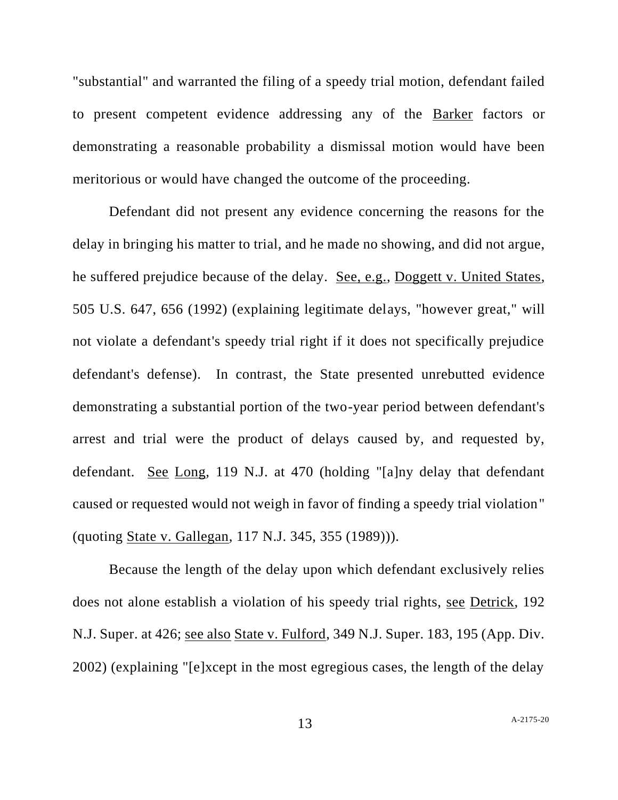"substantial" and warranted the filing of a speedy trial motion, defendant failed to present competent evidence addressing any of the Barker factors or demonstrating a reasonable probability a dismissal motion would have been meritorious or would have changed the outcome of the proceeding.

Defendant did not present any evidence concerning the reasons for the delay in bringing his matter to trial, and he made no showing, and did not argue, he suffered prejudice because of the delay. See, e.g., Doggett v. United States, 505 U.S. 647, 656 (1992) (explaining legitimate delays, "however great," will not violate a defendant's speedy trial right if it does not specifically prejudice defendant's defense). In contrast, the State presented unrebutted evidence demonstrating a substantial portion of the two-year period between defendant's arrest and trial were the product of delays caused by, and requested by, defendant. See Long, 119 N.J. at 470 (holding "[a]ny delay that defendant caused or requested would not weigh in favor of finding a speedy trial violation" (quoting State v. Gallegan, 117 N.J. 345, 355 (1989))).

Because the length of the delay upon which defendant exclusively relies does not alone establish a violation of his speedy trial rights, see Detrick, 192 N.J. Super. at 426; see also State v. Fulford, 349 N.J. Super. 183, 195 (App. Div. 2002) (explaining "[e]xcept in the most egregious cases, the length of the delay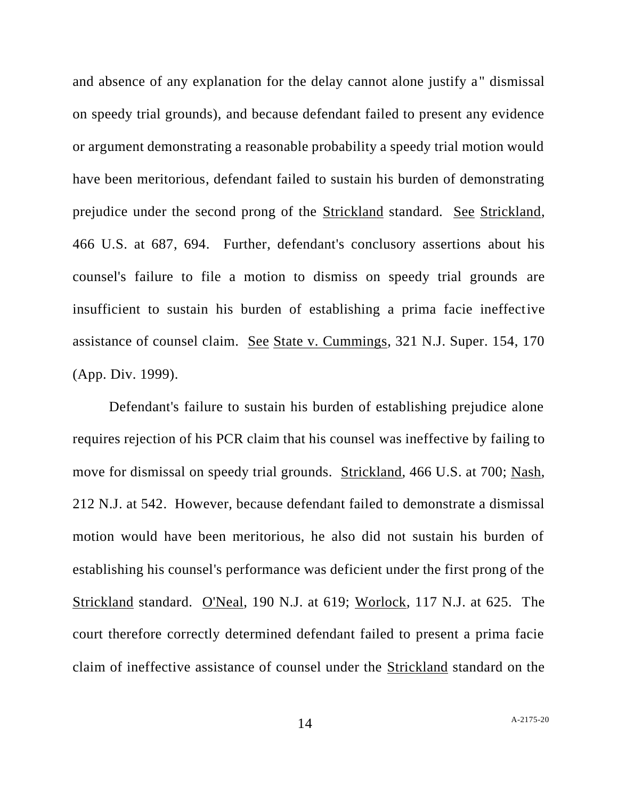and absence of any explanation for the delay cannot alone justify a" dismissal on speedy trial grounds), and because defendant failed to present any evidence or argument demonstrating a reasonable probability a speedy trial motion would have been meritorious, defendant failed to sustain his burden of demonstrating prejudice under the second prong of the Strickland standard. See Strickland, 466 U.S. at 687, 694. Further, defendant's conclusory assertions about his counsel's failure to file a motion to dismiss on speedy trial grounds are insufficient to sustain his burden of establishing a prima facie ineffective assistance of counsel claim. See State v. Cummings, 321 N.J. Super. 154, 170 (App. Div. 1999).

Defendant's failure to sustain his burden of establishing prejudice alone requires rejection of his PCR claim that his counsel was ineffective by failing to move for dismissal on speedy trial grounds. Strickland, 466 U.S. at 700; Nash, 212 N.J. at 542. However, because defendant failed to demonstrate a dismissal motion would have been meritorious, he also did not sustain his burden of establishing his counsel's performance was deficient under the first prong of the Strickland standard. O'Neal, 190 N.J. at 619; Worlock, 117 N.J. at 625. The court therefore correctly determined defendant failed to present a prima facie claim of ineffective assistance of counsel under the Strickland standard on the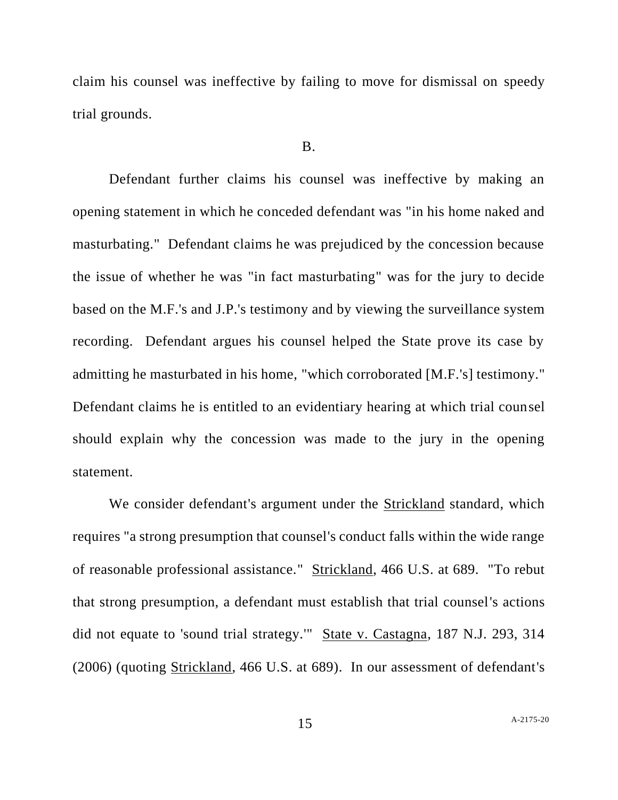claim his counsel was ineffective by failing to move for dismissal on speedy trial grounds.

#### B.

Defendant further claims his counsel was ineffective by making an opening statement in which he conceded defendant was "in his home naked and masturbating." Defendant claims he was prejudiced by the concession because the issue of whether he was "in fact masturbating" was for the jury to decide based on the M.F.'s and J.P.'s testimony and by viewing the surveillance system recording. Defendant argues his counsel helped the State prove its case by admitting he masturbated in his home, "which corroborated [M.F.'s] testimony." Defendant claims he is entitled to an evidentiary hearing at which trial counsel should explain why the concession was made to the jury in the opening statement.

We consider defendant's argument under the **Strickland** standard, which requires "a strong presumption that counsel's conduct falls within the wide range of reasonable professional assistance." Strickland, 466 U.S. at 689. "To rebut that strong presumption, a defendant must establish that trial counsel's actions did not equate to 'sound trial strategy.'" State v. Castagna, 187 N.J. 293, 314 (2006) (quoting Strickland, 466 U.S. at 689). In our assessment of defendant's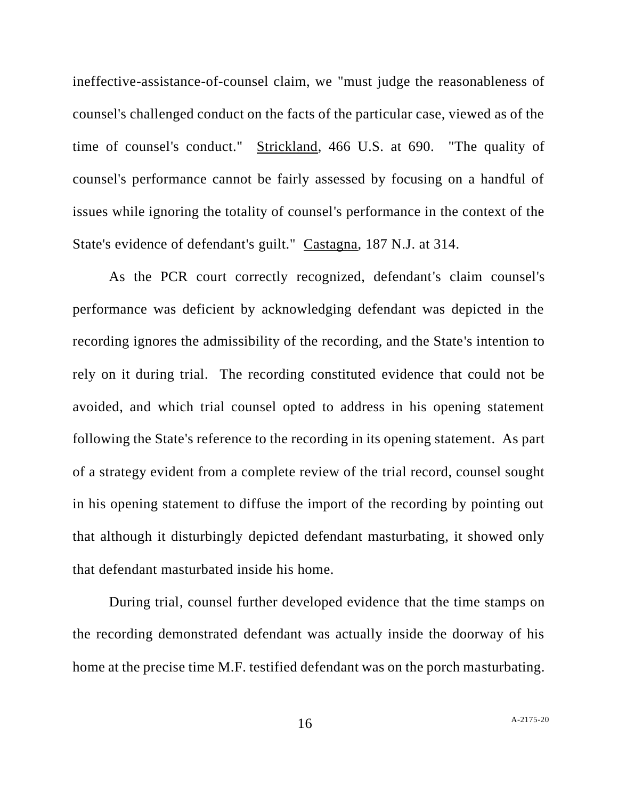ineffective-assistance-of-counsel claim, we "must judge the reasonableness of counsel's challenged conduct on the facts of the particular case, viewed as of the time of counsel's conduct." Strickland, 466 U.S. at 690. "The quality of counsel's performance cannot be fairly assessed by focusing on a handful of issues while ignoring the totality of counsel's performance in the context of the State's evidence of defendant's guilt." Castagna, 187 N.J. at 314.

As the PCR court correctly recognized, defendant's claim counsel's performance was deficient by acknowledging defendant was depicted in the recording ignores the admissibility of the recording, and the State's intention to rely on it during trial. The recording constituted evidence that could not be avoided, and which trial counsel opted to address in his opening statement following the State's reference to the recording in its opening statement. As part of a strategy evident from a complete review of the trial record, counsel sought in his opening statement to diffuse the import of the recording by pointing out that although it disturbingly depicted defendant masturbating, it showed only that defendant masturbated inside his home.

During trial, counsel further developed evidence that the time stamps on the recording demonstrated defendant was actually inside the doorway of his home at the precise time M.F. testified defendant was on the porch masturbating.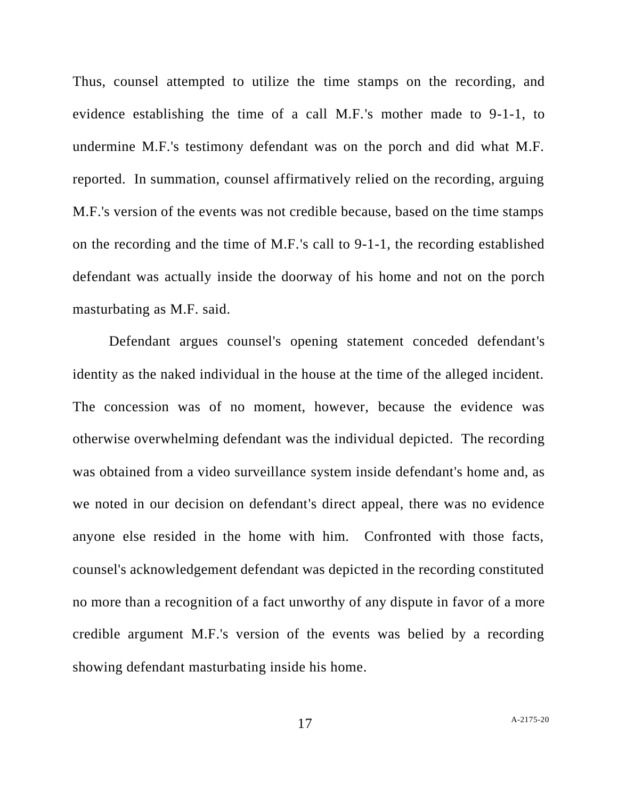Thus, counsel attempted to utilize the time stamps on the recording, and evidence establishing the time of a call M.F.'s mother made to 9-1-1, to undermine M.F.'s testimony defendant was on the porch and did what M.F. reported. In summation, counsel affirmatively relied on the recording, arguing M.F.'s version of the events was not credible because, based on the time stamps on the recording and the time of M.F.'s call to 9-1-1, the recording established defendant was actually inside the doorway of his home and not on the porch masturbating as M.F. said.

Defendant argues counsel's opening statement conceded defendant's identity as the naked individual in the house at the time of the alleged incident. The concession was of no moment, however, because the evidence was otherwise overwhelming defendant was the individual depicted. The recording was obtained from a video surveillance system inside defendant's home and, as we noted in our decision on defendant's direct appeal, there was no evidence anyone else resided in the home with him. Confronted with those facts, counsel's acknowledgement defendant was depicted in the recording constituted no more than a recognition of a fact unworthy of any dispute in favor of a more credible argument M.F.'s version of the events was belied by a recording showing defendant masturbating inside his home.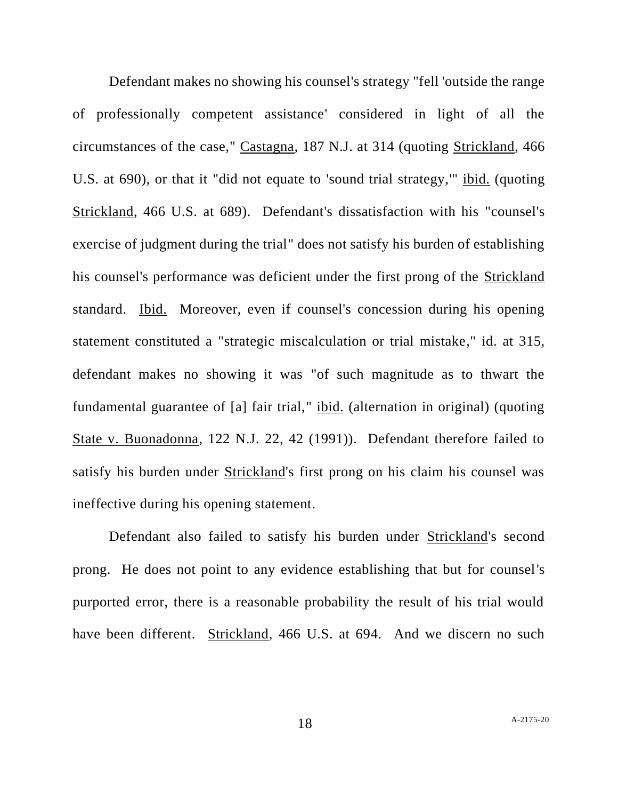Defendant makes no showing his counsel's strategy "fell 'outside the range of professionally competent assistance' considered in light of all the circumstances of the case," Castagna, 187 N.J. at 314 (quoting Strickland, 466 U.S. at 690), or that it "did not equate to 'sound trial strategy,'" ibid. (quoting Strickland, 466 U.S. at 689). Defendant's dissatisfaction with his "counsel's exercise of judgment during the trial" does not satisfy his burden of establishing his counsel's performance was deficient under the first prong of the Strickland standard. Ibid. Moreover, even if counsel's concession during his opening statement constituted a "strategic miscalculation or trial mistake," id. at 315, defendant makes no showing it was "of such magnitude as to thwart the fundamental guarantee of [a] fair trial," ibid. (alternation in original) (quoting State v. Buonadonna, 122 N.J. 22, 42 (1991)). Defendant therefore failed to satisfy his burden under Strickland's first prong on his claim his counsel was ineffective during his opening statement.

Defendant also failed to satisfy his burden under Strickland's second prong. He does not point to any evidence establishing that but for counsel's purported error, there is a reasonable probability the result of his trial would have been different. Strickland, 466 U.S. at 694. And we discern no such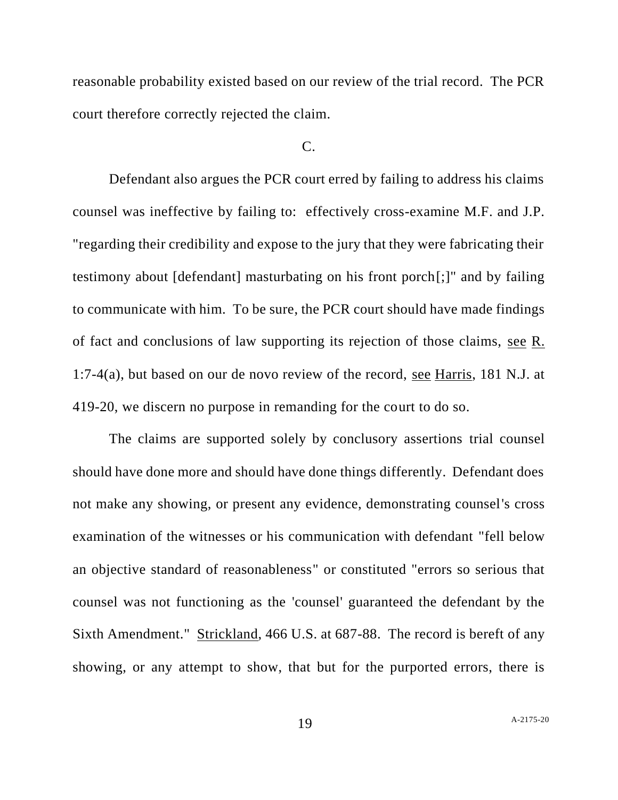reasonable probability existed based on our review of the trial record. The PCR court therefore correctly rejected the claim.

### $C_{\cdot}$

Defendant also argues the PCR court erred by failing to address his claims counsel was ineffective by failing to: effectively cross-examine M.F. and J.P. "regarding their credibility and expose to the jury that they were fabricating their testimony about [defendant] masturbating on his front porch[;]" and by failing to communicate with him. To be sure, the PCR court should have made findings of fact and conclusions of law supporting its rejection of those claims, see R. 1:7-4(a), but based on our de novo review of the record, see Harris, 181 N.J. at 419-20, we discern no purpose in remanding for the court to do so.

The claims are supported solely by conclusory assertions trial counsel should have done more and should have done things differently. Defendant does not make any showing, or present any evidence, demonstrating counsel's cross examination of the witnesses or his communication with defendant "fell below an objective standard of reasonableness" or constituted "errors so serious that counsel was not functioning as the 'counsel' guaranteed the defendant by the Sixth Amendment." Strickland, 466 U.S. at 687-88. The record is bereft of any showing, or any attempt to show, that but for the purported errors, there is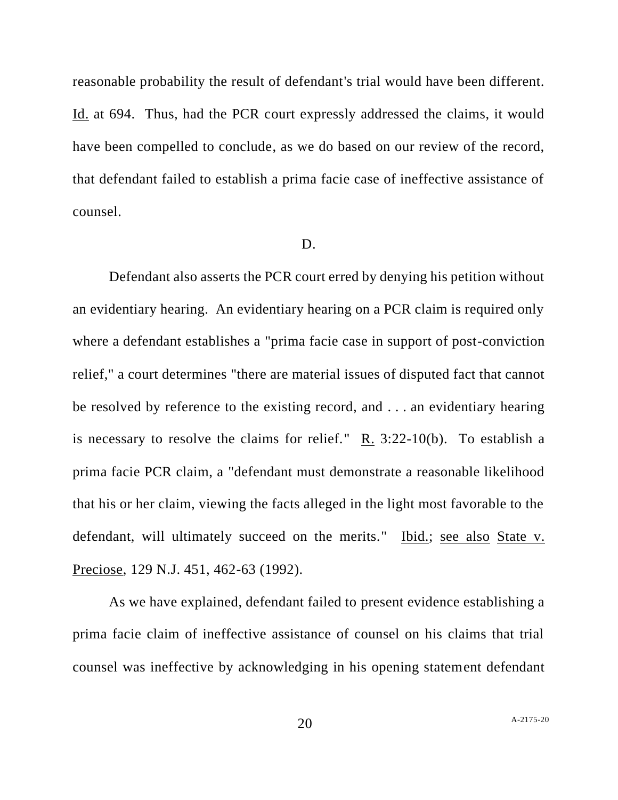reasonable probability the result of defendant's trial would have been different. Id. at 694. Thus, had the PCR court expressly addressed the claims, it would have been compelled to conclude, as we do based on our review of the record, that defendant failed to establish a prima facie case of ineffective assistance of counsel.

#### D.

Defendant also asserts the PCR court erred by denying his petition without an evidentiary hearing. An evidentiary hearing on a PCR claim is required only where a defendant establishes a "prima facie case in support of post-conviction relief," a court determines "there are material issues of disputed fact that cannot be resolved by reference to the existing record, and . . . an evidentiary hearing is necessary to resolve the claims for relief." R. 3:22-10(b). To establish a prima facie PCR claim, a "defendant must demonstrate a reasonable likelihood that his or her claim, viewing the facts alleged in the light most favorable to the defendant, will ultimately succeed on the merits." Ibid.; see also State v. Preciose, 129 N.J. 451, 462-63 (1992).

As we have explained, defendant failed to present evidence establishing a prima facie claim of ineffective assistance of counsel on his claims that trial counsel was ineffective by acknowledging in his opening statement defendant